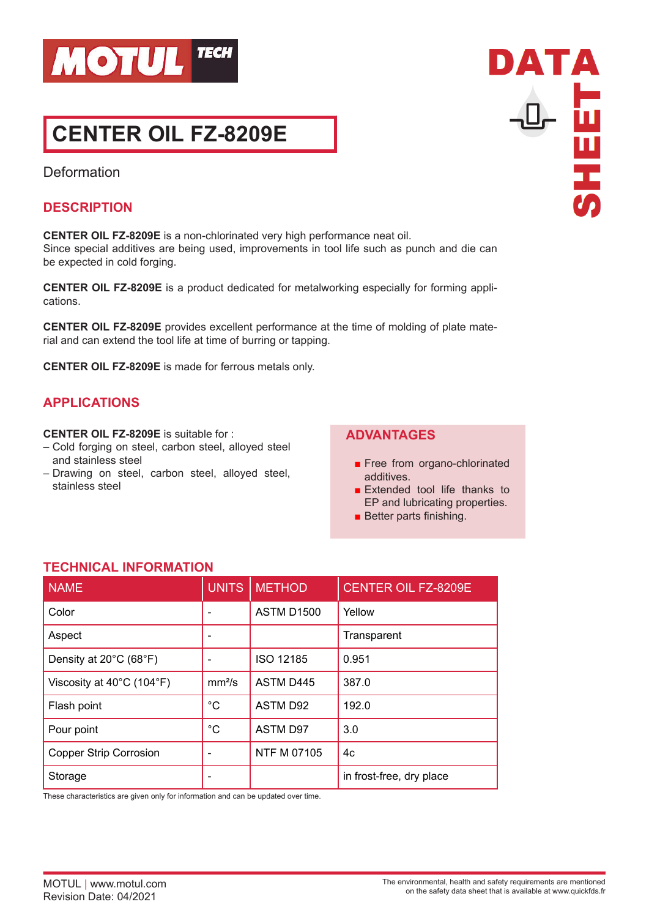

# **CENTER OIL FZ-8209E**

Deformation

#### **DESCRIPTION**

**CENTER OIL FZ-8209E** is a non-chlorinated very high performance neat oil. Since special additives are being used, improvements in tool life such as punch and die can be expected in cold forging.

**CENTER OIL FZ-8209E** is a product dedicated for metalworking especially for forming applications.

**CENTER OIL FZ-8209E** provides excellent performance at the time of molding of plate material and can extend the tool life at time of burring or tapping.

**CENTER OIL FZ-8209E** is made for ferrous metals only.

## **APPLICATIONS**

#### **CENTER OIL FZ-8209E** is suitable for :

- Cold forging on steel, carbon steel, alloyed steel and stainless steel
- Drawing on steel, carbon steel, alloyed steel, stainless steel

### **ADVANTAGES**

- Free from organo-chlorinated additives.
- Extended tool life thanks to EP and lubricating properties.
- Better parts finishing.

### **TECHNICAL INFORMATION**

| <b>NAME</b>                   | <b>UNITS</b>             | <b>METHOD</b>      | <b>CENTER OIL FZ-8209E</b> |
|-------------------------------|--------------------------|--------------------|----------------------------|
| Color                         | $\overline{\phantom{0}}$ | <b>ASTM D1500</b>  | Yellow                     |
| Aspect                        |                          |                    | Transparent                |
| Density at 20°C (68°F)        |                          | ISO 12185          | 0.951                      |
| Viscosity at 40°C (104°F)     | mm <sup>2</sup> /s       | <b>ASTM D445</b>   | 387.0                      |
| Flash point                   | $^{\circ}C$              | <b>ASTM D92</b>    | 192.0                      |
| Pour point                    | $^{\circ}C$              | <b>ASTM D97</b>    | 3.0                        |
| <b>Copper Strip Corrosion</b> |                          | <b>NTF M 07105</b> | 4c                         |
| Storage                       |                          |                    | in frost-free, dry place   |

These characteristics are given only for information and can be updated over time.